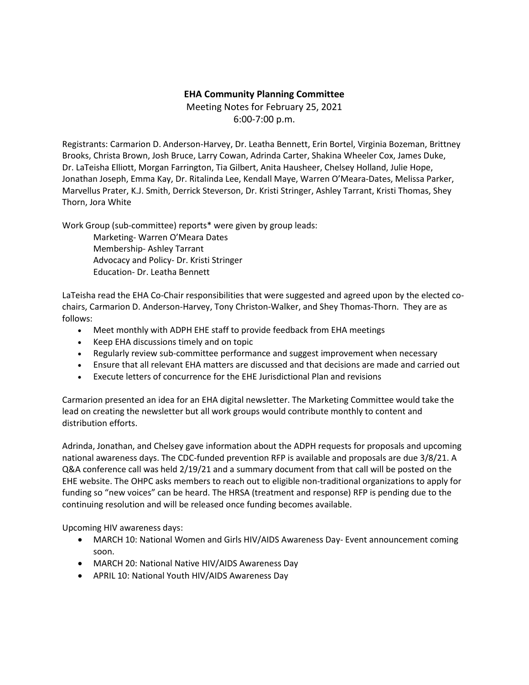## **EHA Community Planning Committee**

Meeting Notes for February 25, 2021 6:00-7:00 p.m.

Registrants: Carmarion D. Anderson-Harvey, Dr. Leatha Bennett, Erin Bortel, Virginia Bozeman, Brittney Brooks, Christa Brown, Josh Bruce, Larry Cowan, Adrinda Carter, Shakina Wheeler Cox, James Duke, Dr. LaTeisha Elliott, Morgan Farrington, Tia Gilbert, Anita Hausheer, Chelsey Holland, Julie Hope, Jonathan Joseph, Emma Kay, Dr. Ritalinda Lee, Kendall Maye, Warren O'Meara-Dates, Melissa Parker, Marvellus Prater, K.J. Smith, Derrick Steverson, Dr. Kristi Stringer, Ashley Tarrant, Kristi Thomas, Shey Thorn, Jora White

Work Group (sub-committee) reports\* were given by group leads:

Marketing- Warren O'Meara Dates Membership- Ashley Tarrant Advocacy and Policy- Dr. Kristi Stringer Education- Dr. Leatha Bennett

LaTeisha read the EHA Co-Chair responsibilities that were suggested and agreed upon by the elected cochairs, Carmarion D. Anderson-Harvey, Tony Christon-Walker, and Shey Thomas-Thorn. They are as follows:

- Meet monthly with ADPH EHE staff to provide feedback from EHA meetings
- Keep EHA discussions timely and on topic
- Regularly review sub-committee performance and suggest improvement when necessary
- Ensure that all relevant EHA matters are discussed and that decisions are made and carried out
- Execute letters of concurrence for the EHE Jurisdictional Plan and revisions

Carmarion presented an idea for an EHA digital newsletter. The Marketing Committee would take the lead on creating the newsletter but all work groups would contribute monthly to content and distribution efforts.

Adrinda, Jonathan, and Chelsey gave information about the ADPH requests for proposals and upcoming national awareness days. The CDC-funded prevention RFP is available and proposals are due 3/8/21. A Q&A conference call was held 2/19/21 and a summary document from that call will be posted on the EHE website. The OHPC asks members to reach out to eligible non-traditional organizations to apply for funding so "new voices" can be heard. The HRSA (treatment and response) RFP is pending due to the continuing resolution and will be released once funding becomes available.

Upcoming HIV awareness days:

- MARCH 10: National Women and Girls HIV/AIDS Awareness Day- Event announcement coming soon.
- MARCH 20: National Native HIV/AIDS Awareness Day
- APRIL 10: National Youth HIV/AIDS Awareness Day